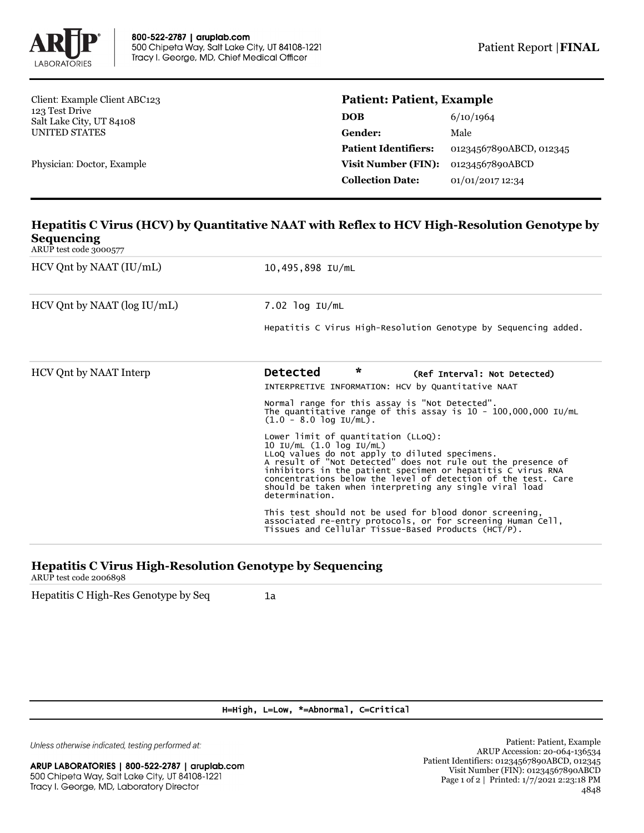

Client: Example Client ABC123 123 Test Drive Salt Lake City, UT 84108 UNITED STATES

Physician: Doctor, Example

## **Patient: Patient, Example**

| DOB                         | 6/10/1964               |
|-----------------------------|-------------------------|
| Gender:                     | Male                    |
| <b>Patient Identifiers:</b> | 01234567890ABCD, 012345 |
| <b>Visit Number (FIN):</b>  | 01234567890ABCD         |
| <b>Collection Date:</b>     | 01/01/2017 12:34        |

## **Hepatitis C Virus (HCV) by Quantitative NAAT with Reflex to HCV High-Resolution Genotype by Sequencing**

ARUP test code 3000577

| $HCV$ Qnt by NAAT $(IU/mL)$       | 10,495,898 IU/mL                                                                                                                                                                                                                                                                                                                                                                               |  |  |
|-----------------------------------|------------------------------------------------------------------------------------------------------------------------------------------------------------------------------------------------------------------------------------------------------------------------------------------------------------------------------------------------------------------------------------------------|--|--|
| $HCV$ Qnt by NAAT ( $log IU/mL$ ) | $7.02$ log IU/mL<br>Hepatitis C Virus High-Resolution Genotype by Sequencing added.                                                                                                                                                                                                                                                                                                            |  |  |
|                                   |                                                                                                                                                                                                                                                                                                                                                                                                |  |  |
| HCV Ont by NAAT Interp            | $\star$<br><b>Detected</b><br>(Ref Interval: Not Detected)<br>INTERPRETIVE INFORMATION: HCV by Quantitative NAAT                                                                                                                                                                                                                                                                               |  |  |
|                                   | Normal range for this assay is "Not Detected".<br>The quantitative range of this assay is $10 - 100,000,000$ IU/mL<br>$(1.0 - 8.0 \log \text{IU/mL}).$                                                                                                                                                                                                                                         |  |  |
|                                   | Lower limit of quantitation (LLoQ):<br>10 IU/mL (1.0 log IU/mL)<br>LLoQ values do not apply to diluted specimens.<br>A result of "Not Detected" does not rule out the presence of<br>inhibitors in the patient specimen or hepatitis C virus RNA<br>concentrations below the level of detection of the test. Care<br>should be taken when interpreting any single viral load<br>determination. |  |  |
|                                   | This test should not be used for blood donor screening,<br>associated re-entry protocols, or for screening Human Cell,<br>Tissues and Cellular Tissue-Based Products (HCT/P).                                                                                                                                                                                                                  |  |  |

## **Hepatitis C Virus High-Resolution Genotype by Sequencing**

ARUP test code 2006898

Hepatitis C High-Res Genotype by Seq 1a

H=High, L=Low, \*=Abnormal, C=Critical

Unless otherwise indicated, testing performed at: